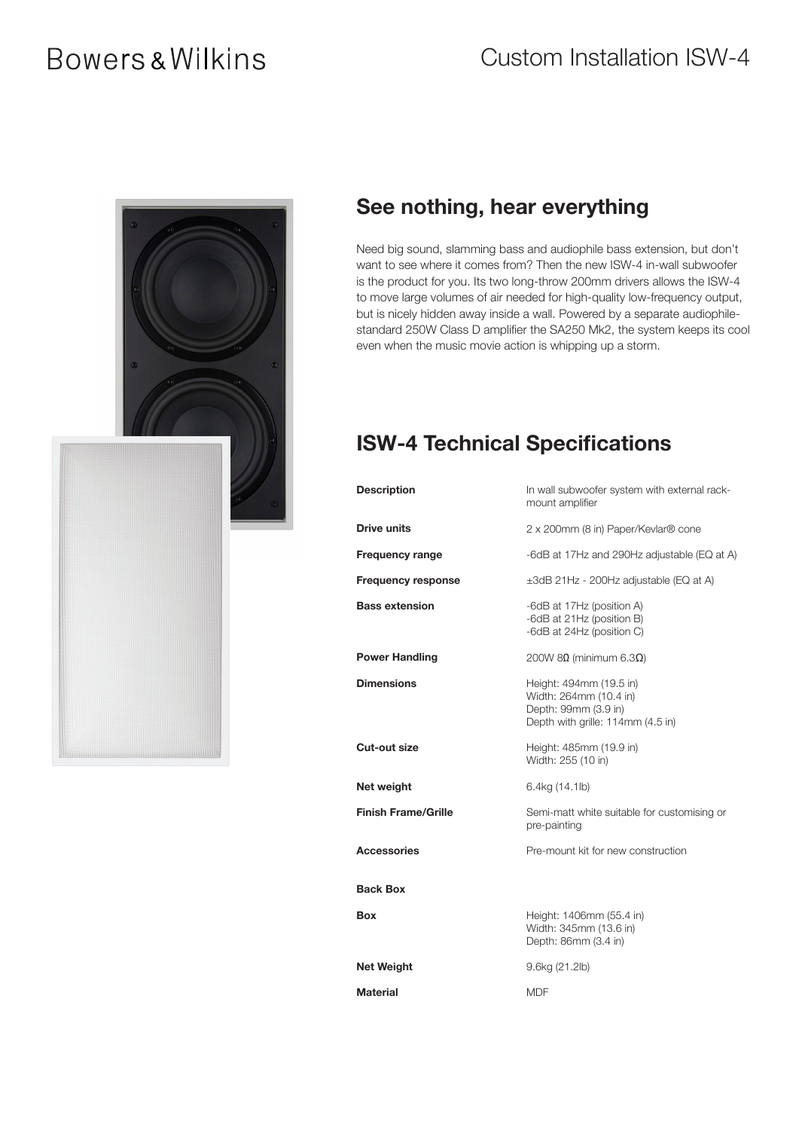# **Bowers & Wilkins**



#### See nothing, hear everything

Need big sound, slamming bass and audiophile bass extension, but don't want to see where it comes from? Then the new ISW-4 in-wall subwoofer is the product for you. Its two long-throw 200mm drivers allows the ISW-4 to move large volumes of air needed for high-quality low-frequency output, but is nicely hidden away inside a wall. Powered by a separate audiophilestandard 250W Class D amplifier the SA250 Mk2, the system keeps its cool even when the music movie action is whipping up a storm.

#### ISW-4 Technical Specifications

| <b>Description</b>         | In wall subwoofer system with external rack-<br>mount amplifier                                                |
|----------------------------|----------------------------------------------------------------------------------------------------------------|
| Drive units                | 2 x 200mm (8 in) Paper/Kevlar® cone                                                                            |
| <b>Frequency range</b>     | -6dB at 17Hz and 290Hz adjustable (EQ at A)                                                                    |
| <b>Frequency response</b>  | ±3dB 21Hz - 200Hz adjustable (EQ at A)                                                                         |
| <b>Bass extension</b>      | -6dB at 17Hz (position A)<br>-6dB at 21Hz (position B)<br>-6dB at 24Hz (position C)                            |
| <b>Power Handling</b>      | 200W 8Ω (minimum 6.3Ω)                                                                                         |
| <b>Dimensions</b>          | Height: 494mm (19.5 in)<br>Width: 264mm (10.4 in)<br>Depth: 99mm (3.9 in)<br>Depth with grille: 114mm (4.5 in) |
| Cut-out size               | Height: 485mm (19.9 in)<br>Width: 255 (10 in)                                                                  |
| Net weight                 | 6.4kg (14.1lb)                                                                                                 |
| <b>Finish Frame/Grille</b> | Semi-matt white suitable for customising or<br>pre-painting                                                    |
| <b>Accessories</b>         | Pre-mount kit for new construction                                                                             |
| <b>Back Box</b>            |                                                                                                                |
| Box                        | Height: 1406mm (55.4 in)<br>Width: 345mm (13.6 in)<br>Depth: 86mm (3.4 in)                                     |
| <b>Net Weight</b>          | 9.6kg (21.2lb)                                                                                                 |
| <b>Material</b>            | <b>MDF</b>                                                                                                     |